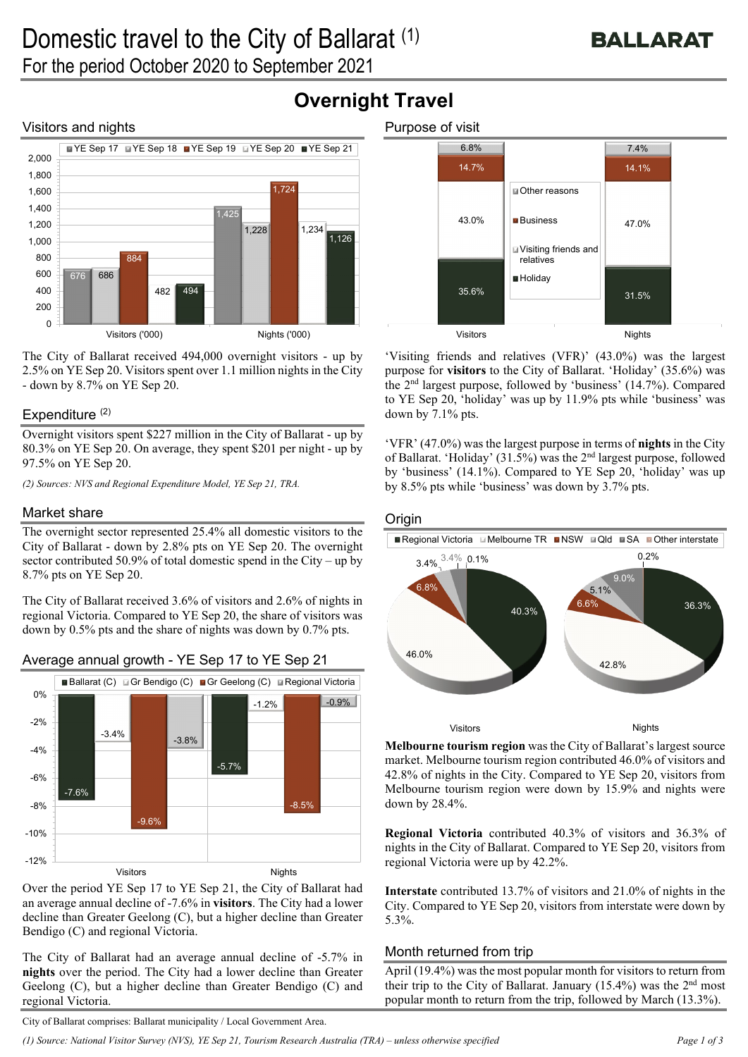# Visitors and nights



The City of Ballarat received 494,000 overnight visitors - up by 2.5% on YE Sep 20. Visitors spent over 1.1 million nights in the City - down by 8.7% on YE Sep 20.

## Expenditure  $(2)$

Overnight visitors spent \$227 million in the City of Ballarat - up by 80.3% on YE Sep 20. On average, they spent \$201 per night - up by 97.5% on YE Sep 20.

*(2) Sources: NVS and Regional Expenditure Model, YE Sep 21, TRA.* 

# Market share

The overnight sector represented 25.4% all domestic visitors to the City of Ballarat - down by 2.8% pts on YE Sep 20. The overnight sector contributed 50.9% of total domestic spend in the City – up by 8.7% pts on YE Sep 20.

The City of Ballarat received 3.6% of visitors and 2.6% of nights in regional Victoria. Compared to YE Sep 20, the share of visitors was down by 0.5% pts and the share of nights was down by 0.7% pts.



# Average annual growth - YE Sep 17 to YE Sep 21

Over the period YE Sep 17 to YE Sep 21, the City of Ballarat had an average annual decline of -7.6% in **visitors**. The City had a lower decline than Greater Geelong (C), but a higher decline than Greater Bendigo (C) and regional Victoria.

The City of Ballarat had an average annual decline of -5.7% in **nights** over the period. The City had a lower decline than Greater Geelong (C), but a higher decline than Greater Bendigo (C) and regional Victoria.



'Visiting friends and relatives (VFR)' (43.0%) was the largest purpose for **visitors** to the City of Ballarat. 'Holiday' (35.6%) was the 2nd largest purpose, followed by 'business' (14.7%). Compared to YE Sep 20, 'holiday' was up by 11.9% pts while 'business' was down by 7.1% pts.

'VFR' (47.0%) was the largest purpose in terms of **nights** in the City of Ballarat. 'Holiday' (31.5%) was the 2nd largest purpose, followed by 'business' (14.1%). Compared to YE Sep 20, 'holiday' was up by 8.5% pts while 'business' was down by 3.7% pts.

## **Origin**

**Overnight Travel**



**Melbourne tourism region** was the City of Ballarat's largest source market. Melbourne tourism region contributed 46.0% of visitors and 42.8% of nights in the City. Compared to YE Sep 20, visitors from Melbourne tourism region were down by 15.9% and nights were down by 28.4%.

**Regional Victoria** contributed 40.3% of visitors and 36.3% of nights in the City of Ballarat. Compared to YE Sep 20, visitors from regional Victoria were up by 42.2%.

**Interstate** contributed 13.7% of visitors and 21.0% of nights in the City. Compared to YE Sep 20, visitors from interstate were down by 5.3%.

# Month returned from trip

April (19.4%) was the most popular month for visitors to return from their trip to the City of Ballarat. January  $(15.4\%)$  was the  $2<sup>nd</sup>$  most popular month to return from the trip, followed by March (13.3%).

City of Ballarat comprises: Ballarat municipality / Local Government Area.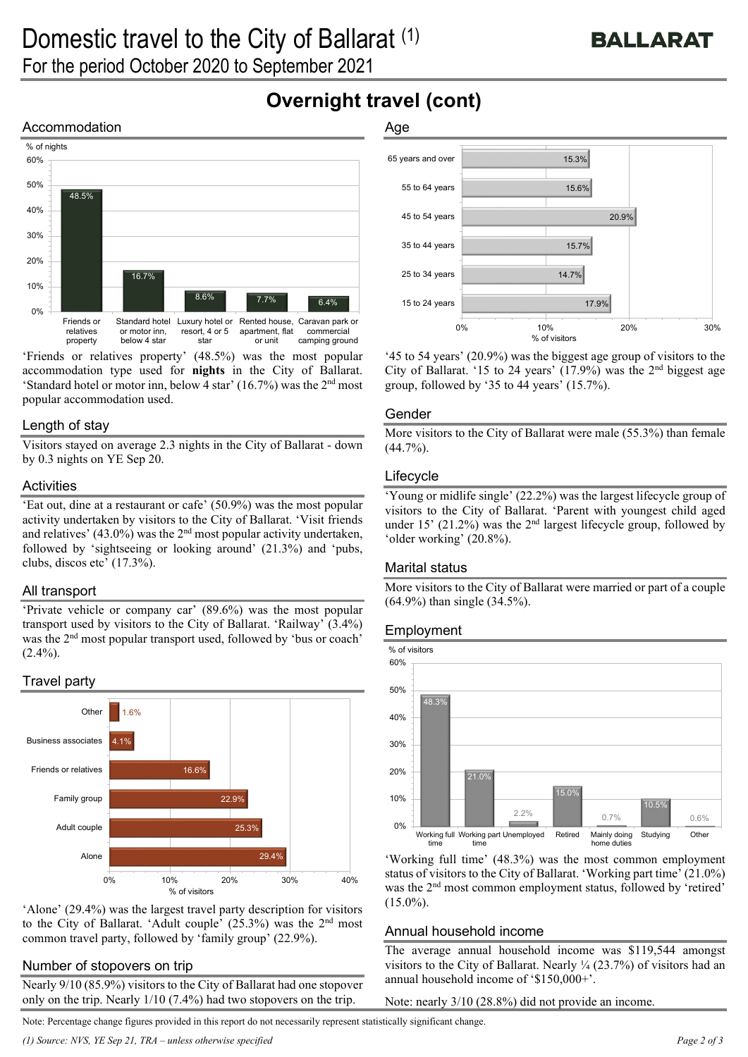# **Overnight travel (cont)**

# Accommodation



'Friends or relatives property' (48.5%) was the most popular accommodation type used for **nights** in the City of Ballarat. 'Standard hotel or motor inn, below 4 star' (16.7%) was the  $2<sup>nd</sup>$  most popular accommodation used.

## Length of stay

Visitors stayed on average 2.3 nights in the City of Ballarat - down by 0.3 nights on YE Sep 20.

#### **Activities**

'Eat out, dine at a restaurant or cafe' (50.9%) was the most popular activity undertaken by visitors to the City of Ballarat. 'Visit friends and relatives' (43.0%) was the  $2<sup>nd</sup>$  most popular activity undertaken, followed by 'sightseeing or looking around' (21.3%) and 'pubs, clubs, discos etc' (17.3%).

# All transport

'Private vehicle or company car' (89.6%) was the most popular transport used by visitors to the City of Ballarat. 'Railway' (3.4%) was the 2nd most popular transport used, followed by 'bus or coach'  $(2.4\%)$ .

# Travel party



'Alone' (29.4%) was the largest travel party description for visitors to the City of Ballarat. 'Adult couple'  $(25.3\%)$  was the  $2<sup>nd</sup>$  most common travel party, followed by 'family group' (22.9%).

#### Number of stopovers on trip

Nearly 9/10 (85.9%) visitors to the City of Ballarat had one stopover only on the trip. Nearly 1/10 (7.4%) had two stopovers on the trip.

# Age



'45 to 54 years' (20.9%) was the biggest age group of visitors to the City of Ballarat. '15 to 24 years'  $(17.9%)$  was the 2<sup>nd</sup> biggest age group, followed by '35 to 44 years' (15.7%).

#### Gender

More visitors to the City of Ballarat were male (55.3%) than female  $(44.7\%)$ .

## Lifecycle

'Young or midlife single' (22.2%) was the largest lifecycle group of visitors to the City of Ballarat. 'Parent with youngest child aged under 15' (21.2%) was the  $2<sup>nd</sup>$  largest lifecycle group, followed by 'older working' (20.8%).

#### Marital status

More visitors to the City of Ballarat were married or part of a couple (64.9%) than single (34.5%).

#### Employment



'Working full time' (48.3%) was the most common employment status of visitors to the City of Ballarat. 'Working part time' (21.0%) was the 2<sup>nd</sup> most common employment status, followed by 'retired'  $(15.0\%)$ .

#### Annual household income

The average annual household income was \$119,544 amongst visitors to the City of Ballarat. Nearly ¼ (23.7%) of visitors had an annual household income of '\$150,000+'.

Note: nearly 3/10 (28.8%) did not provide an income.

Note: Percentage change figures provided in this report do not necessarily represent statistically significant change.